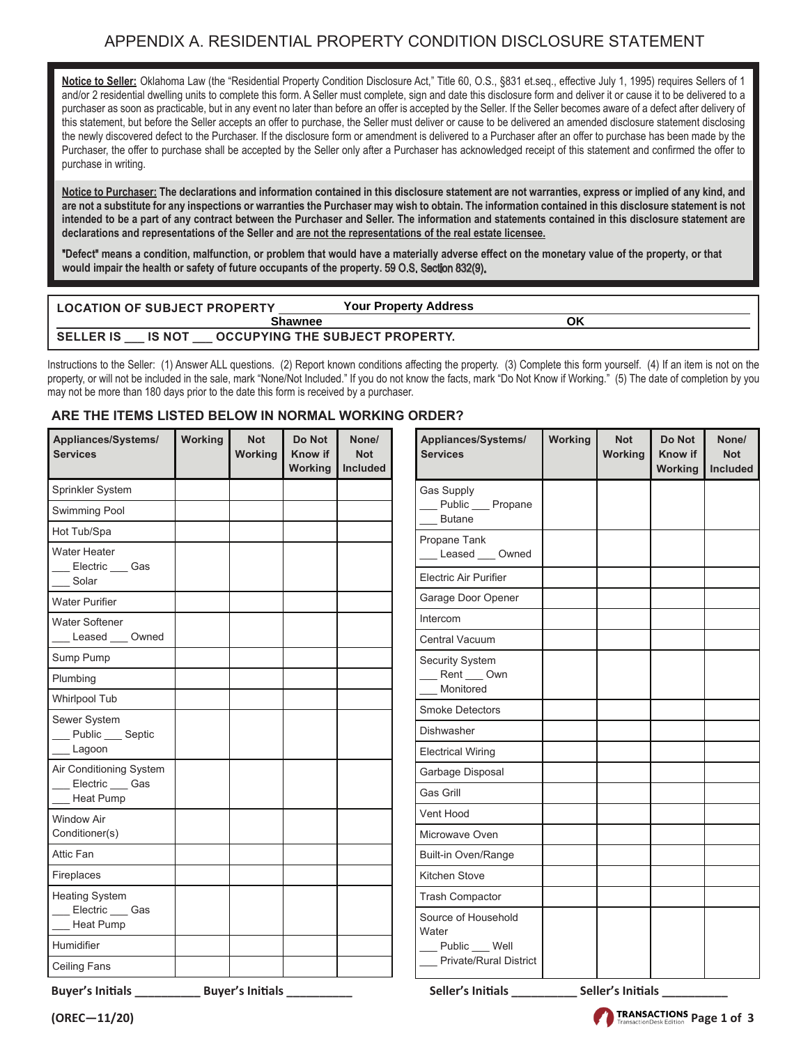## APPENDIX A. RESIDENTIAL PROPERTY CONDITION DISCLOSURE STATEMENT

**Notice to Seller:** Oklahoma Law (the "Residential Property Condition Disclosure Act," Title 60, O.S., §831 et.seq., effective July 1, 1995) requires Sellers of 1 and/or 2 residential dwelling units to complete this form. A Seller must complete, sign and date this disclosure form and deliver it or cause it to be delivered to a purchaser as soon as practicable, but in any event no later than before an offer is accepted by the Seller. If the Seller becomes aware of a defect after delivery of this statement, but before the Seller accepts an offer to purchase, the Seller must deliver or cause to be delivered an amended disclosure statement disclosing the newly discovered defect to the Purchaser. If the disclosure form or amendment is delivered to a Purchaser after an offer to purchase has been made by the Purchaser, the offer to purchase shall be accepted by the Seller only after a Purchaser has acknowledged receipt of this statement and confirmed the offer to purchase in writing.

**Notice to Purchaser: The declarations and information contained in this disclosure statement are not warranties, express or implied of any kind, and are not a substitute for any inspections or warranties the Purchaser may wish to obtain. The information contained in this disclosure statement is not intended to be a part of any contract between the Purchaser and Seller. The information and statements contained in this disclosure statement are declarations and representations of the Seller and are not the representations of the real estate licensee.**

**Defect means a condition, malfunction, or problem that would have a materially adverse effect on the monetary value of the property, or that**  would impair the health or safety of future occupants of the property. 59 O.S. Section 832(9).

| <b>LOCATION OF SUBJECT PROPERTY</b> | <b>Your Property Address</b>           |    |
|-------------------------------------|----------------------------------------|----|
| <b>Shawnee</b>                      |                                        | ΟK |
| <b>SELLER IS</b><br><b>IS NOT</b>   | <b>OCCUPYING THE SUBJECT PROPERTY.</b> |    |

Instructions to the Seller: (1) Answer ALL questions. (2) Report known conditions affecting the property. (3) Complete this form yourself. (4) If an item is not on the property, or will not be included in the sale, mark "None/Not Included." If you do not know the facts, mark "Do Not Know if Working." (5) The date of completion by you may not be more than 180 days prior to the date this form is received by a purchaser.

## **ARE THE ITEMS LISTED BELOW IN NORMAL WORKING ORDER?**

| Appliances/Systems/<br><b>Services</b> | <b>Working</b>           | <b>Not</b><br>Working | Do Not<br>Know if<br>Working | None/<br><b>Not</b><br><b>Included</b> | Appliances/Systems/<br><b>Services</b> | <b>Working</b> | <b>Not</b><br><b>Working</b> | Do Not<br><b>Know if</b><br>Working | None/<br><b>Not</b><br><b>Included</b> |
|----------------------------------------|--------------------------|-----------------------|------------------------------|----------------------------------------|----------------------------------------|----------------|------------------------------|-------------------------------------|----------------------------------------|
| Sprinkler System                       |                          |                       |                              |                                        | Gas Supply                             |                |                              |                                     |                                        |
| Swimming Pool                          |                          |                       |                              |                                        | Public __ Propane<br><b>Butane</b>     |                |                              |                                     |                                        |
| Hot Tub/Spa                            |                          |                       |                              |                                        | Propane Tank                           |                |                              |                                     |                                        |
| Water Heater<br>Electric ___ Gas       |                          |                       |                              |                                        | Leased ___ Owned                       |                |                              |                                     |                                        |
| Solar                                  |                          |                       |                              |                                        | <b>Electric Air Purifier</b>           |                |                              |                                     |                                        |
| Water Purifier                         |                          |                       |                              |                                        | Garage Door Opener                     |                |                              |                                     |                                        |
| <b>Water Softener</b>                  |                          |                       |                              |                                        | Intercom                               |                |                              |                                     |                                        |
| Leased<br>Owned                        |                          |                       |                              |                                        | Central Vacuum                         |                |                              |                                     |                                        |
| Sump Pump                              |                          |                       |                              |                                        | Security System                        |                |                              |                                     |                                        |
| Plumbing                               |                          |                       |                              |                                        | Rent ___ Own<br>Monitored              |                |                              |                                     |                                        |
| <b>Whirlpool Tub</b>                   |                          |                       |                              |                                        | <b>Smoke Detectors</b>                 |                |                              |                                     |                                        |
| Sewer System<br>Public __ Septic       |                          |                       |                              |                                        | Dishwasher                             |                |                              |                                     |                                        |
| Lagoon                                 |                          |                       |                              |                                        | <b>Electrical Wiring</b>               |                |                              |                                     |                                        |
| Air Conditioning System                |                          |                       |                              |                                        | Garbage Disposal                       |                |                              |                                     |                                        |
| Electric __ Gas<br>Heat Pump           |                          |                       |                              |                                        | <b>Gas Grill</b>                       |                |                              |                                     |                                        |
| <b>Window Air</b>                      |                          |                       |                              |                                        | Vent Hood                              |                |                              |                                     |                                        |
| Conditioner(s)                         |                          |                       |                              |                                        | Microwave Oven                         |                |                              |                                     |                                        |
| Attic Fan                              |                          |                       |                              |                                        | Built-in Oven/Range                    |                |                              |                                     |                                        |
| Fireplaces                             |                          |                       |                              |                                        | Kitchen Stove                          |                |                              |                                     |                                        |
| <b>Heating System</b>                  |                          |                       |                              |                                        | <b>Trash Compactor</b>                 |                |                              |                                     |                                        |
| Electric Gas<br>Heat Pump              |                          |                       |                              |                                        | Source of Household<br>Water           |                |                              |                                     |                                        |
| <b>Humidifier</b>                      |                          |                       |                              |                                        | Public Well                            |                |                              |                                     |                                        |
| <b>Ceiling Fans</b>                    |                          |                       |                              |                                        | <b>Private/Rural District</b>          |                |                              |                                     |                                        |
|                                        |                          |                       |                              |                                        |                                        |                |                              |                                     |                                        |
| $(OREC - 11/20)$                       | TRANSACTIONS Page 1 of 3 |                       |                              |                                        |                                        |                |                              |                                     |                                        |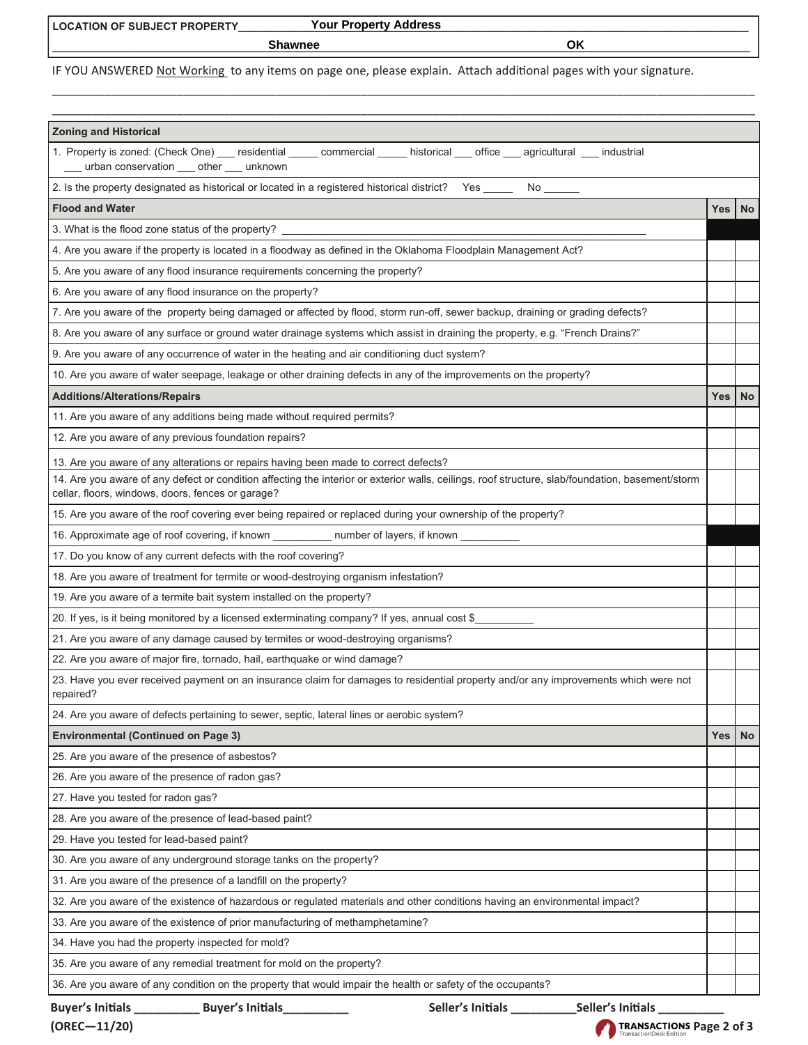**\_\_\_\_\_\_\_\_\_\_\_\_\_\_\_\_\_\_\_\_\_\_\_\_\_\_\_\_\_\_\_\_\_\_\_\_\_\_\_\_\_\_\_\_\_\_\_\_\_\_\_\_\_\_\_\_\_\_\_\_\_\_\_\_\_\_\_\_\_\_\_\_\_\_\_\_\_\_\_\_\_\_\_\_\_\_\_\_\_\_\_\_\_\_\_\_\_\_\_\_\_\_\_\_\_\_\_\_\_\_\_\_\_\_\_\_\_\_\_ Shawnee OK**

IF YOU ANSWERED Not Working to any items on page one, please explain. Attach additional pages with your signature.

\_\_\_\_\_\_\_\_\_\_\_\_\_\_\_\_\_\_\_\_\_\_\_\_\_\_\_\_\_\_\_\_\_\_\_\_\_\_\_\_\_\_\_\_\_\_\_\_\_\_\_\_\_\_\_\_\_\_\_\_\_\_\_\_\_\_\_\_\_\_\_\_\_\_\_\_\_\_\_\_\_\_\_\_\_\_\_\_\_\_\_\_\_\_\_\_\_\_\_\_\_\_\_\_\_\_\_

| <b>Zoning and Historical</b><br>1. Property is zoned: (Check One) ___ residential _____ commercial _____ historical ___ office ___ agricultural ___ industrial                                        |       |           |  |  |
|-------------------------------------------------------------------------------------------------------------------------------------------------------------------------------------------------------|-------|-----------|--|--|
| urban conservation ___ other ___ unknown                                                                                                                                                              |       |           |  |  |
| 2. Is the property designated as historical or located in a registered historical district? Yes ______ No ______                                                                                      |       |           |  |  |
| <b>Flood and Water</b>                                                                                                                                                                                | Yes   | <b>No</b> |  |  |
| 3. What is the flood zone status of the property? ____                                                                                                                                                |       |           |  |  |
| 4. Are you aware if the property is located in a floodway as defined in the Oklahoma Floodplain Management Act?                                                                                       |       |           |  |  |
| 5. Are you aware of any flood insurance requirements concerning the property?                                                                                                                         |       |           |  |  |
| 6. Are you aware of any flood insurance on the property?                                                                                                                                              |       |           |  |  |
| 7. Are you aware of the property being damaged or affected by flood, storm run-off, sewer backup, draining or grading defects?                                                                        |       |           |  |  |
| 8. Are you aware of any surface or ground water drainage systems which assist in draining the property, e.g. "French Drains?"                                                                         |       |           |  |  |
| 9. Are you aware of any occurrence of water in the heating and air conditioning duct system?                                                                                                          |       |           |  |  |
| 10. Are you aware of water seepage, leakage or other draining defects in any of the improvements on the property?                                                                                     |       |           |  |  |
| <b>Additions/Alterations/Repairs</b>                                                                                                                                                                  | Yes I | <b>No</b> |  |  |
| 11. Are you aware of any additions being made without required permits?                                                                                                                               |       |           |  |  |
| 12. Are you aware of any previous foundation repairs?                                                                                                                                                 |       |           |  |  |
| 13. Are you aware of any alterations or repairs having been made to correct defects?                                                                                                                  |       |           |  |  |
| 14. Are you aware of any defect or condition affecting the interior or exterior walls, ceilings, roof structure, slab/foundation, basement/storm<br>cellar, floors, windows, doors, fences or garage? |       |           |  |  |
| 15. Are you aware of the roof covering ever being repaired or replaced during your ownership of the property?                                                                                         |       |           |  |  |
| 16. Approximate age of roof covering, if known _____________ number of layers, if known ______                                                                                                        |       |           |  |  |
| 17. Do you know of any current defects with the roof covering?                                                                                                                                        |       |           |  |  |
| 18. Are you aware of treatment for termite or wood-destroying organism infestation?                                                                                                                   |       |           |  |  |
| 19. Are you aware of a termite bait system installed on the property?                                                                                                                                 |       |           |  |  |
| 20. If yes, is it being monitored by a licensed exterminating company? If yes, annual cost \$                                                                                                         |       |           |  |  |
| 21. Are you aware of any damage caused by termites or wood-destroying organisms?                                                                                                                      |       |           |  |  |
| 22. Are you aware of major fire, tornado, hail, earthquake or wind damage?                                                                                                                            |       |           |  |  |
| 23. Have you ever received payment on an insurance claim for damages to residential property and/or any improvements which were not<br>repaired?                                                      |       |           |  |  |
| 24. Are you aware of defects pertaining to sewer, septic, lateral lines or aerobic system?                                                                                                            |       |           |  |  |
| <b>Environmental (Continued on Page 3)</b>                                                                                                                                                            | Yes   | <b>No</b> |  |  |
| 25. Are you aware of the presence of asbestos?                                                                                                                                                        |       |           |  |  |
| 26. Are you aware of the presence of radon gas?                                                                                                                                                       |       |           |  |  |
| 27. Have you tested for radon gas?                                                                                                                                                                    |       |           |  |  |
| 28. Are you aware of the presence of lead-based paint?                                                                                                                                                |       |           |  |  |
| 29. Have you tested for lead-based paint?                                                                                                                                                             |       |           |  |  |
| 30. Are you aware of any underground storage tanks on the property?                                                                                                                                   |       |           |  |  |
| 31. Are you aware of the presence of a landfill on the property?                                                                                                                                      |       |           |  |  |
| 32. Are you aware of the existence of hazardous or regulated materials and other conditions having an environmental impact?                                                                           |       |           |  |  |
| 33. Are you aware of the existence of prior manufacturing of methamphetamine?                                                                                                                         |       |           |  |  |
| 34. Have you had the property inspected for mold?                                                                                                                                                     |       |           |  |  |
| 35. Are you aware of any remedial treatment for mold on the property?                                                                                                                                 |       |           |  |  |
| 36. Are you aware of any condition on the property that would impair the health or safety of the occupants?                                                                                           |       |           |  |  |
| Buyer's Initials<br>Seller's Initials<br><b>Buyer's Initials</b><br>Seller's Initials                                                                                                                 |       |           |  |  |

 $(OREC-11/20)$  **TRANSACTIONS** Page 2 of 3